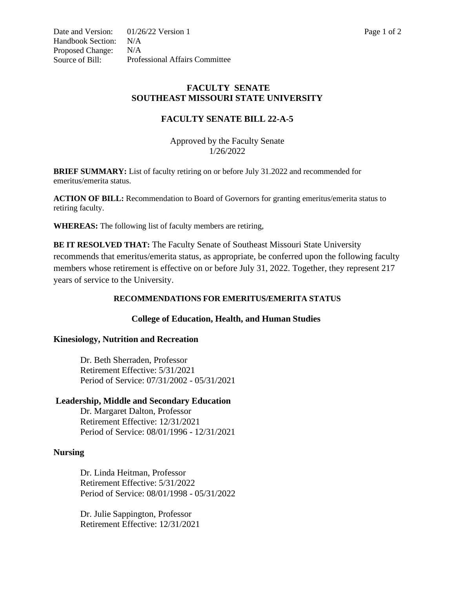## **FACULTY SENATE SOUTHEAST MISSOURI STATE UNIVERSITY**

# **FACULTY SENATE BILL 22-A-5**

Approved by the Faculty Senate 1/26/2022

**BRIEF SUMMARY:** List of faculty retiring on or before July 31.2022 and recommended for emeritus/emerita status.

**ACTION OF BILL:** Recommendation to Board of Governors for granting emeritus/emerita status to retiring faculty.

**WHEREAS:** The following list of faculty members are retiring,

**BE IT RESOLVED THAT:** The Faculty Senate of Southeast Missouri State University recommends that emeritus/emerita status, as appropriate, be conferred upon the following faculty members whose retirement is effective on or before July 31, 2022. Together, they represent 217 years of service to the University.

### **RECOMMENDATIONS FOR EMERITUS/EMERITA STATUS**

### **College of Education, Health, and Human Studies**

### **Kinesiology, Nutrition and Recreation**

Dr. Beth Sherraden, Professor Retirement Effective: 5/31/2021 Period of Service: 07/31/2002 - 05/31/2021

### **Leadership, Middle and Secondary Education**

Dr. Margaret Dalton, Professor Retirement Effective: 12/31/2021 Period of Service: 08/01/1996 - 12/31/2021

### **Nursing**

Dr. Linda Heitman, Professor Retirement Effective: 5/31/2022 Period of Service: 08/01/1998 - 05/31/2022

Dr. Julie Sappington, Professor Retirement Effective: 12/31/2021